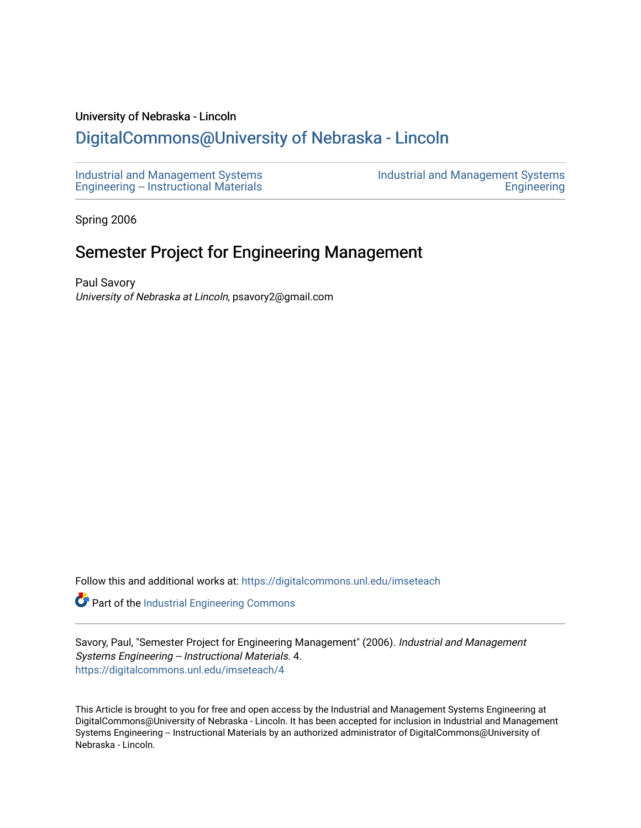#### University of Nebraska - Lincoln

# [DigitalCommons@University of Nebraska - Lincoln](https://digitalcommons.unl.edu/)

[Industrial and Management Systems](https://digitalcommons.unl.edu/imseteach)  [Engineering -- Instructional Materials](https://digitalcommons.unl.edu/imseteach)  [Industrial and Management Systems](https://digitalcommons.unl.edu/imse)  **Engineering** 

Spring 2006

# Semester Project for Engineering Management

Paul Savory University of Nebraska at Lincoln, psavory2@gmail.com

Follow this and additional works at: [https://digitalcommons.unl.edu/imseteach](https://digitalcommons.unl.edu/imseteach?utm_source=digitalcommons.unl.edu%2Fimseteach%2F4&utm_medium=PDF&utm_campaign=PDFCoverPages) 

Part of the [Industrial Engineering Commons](http://network.bepress.com/hgg/discipline/307?utm_source=digitalcommons.unl.edu%2Fimseteach%2F4&utm_medium=PDF&utm_campaign=PDFCoverPages)

Savory, Paul, "Semester Project for Engineering Management" (2006). Industrial and Management Systems Engineering -- Instructional Materials. 4. [https://digitalcommons.unl.edu/imseteach/4](https://digitalcommons.unl.edu/imseteach/4?utm_source=digitalcommons.unl.edu%2Fimseteach%2F4&utm_medium=PDF&utm_campaign=PDFCoverPages) 

This Article is brought to you for free and open access by the Industrial and Management Systems Engineering at DigitalCommons@University of Nebraska - Lincoln. It has been accepted for inclusion in Industrial and Management Systems Engineering -- Instructional Materials by an authorized administrator of DigitalCommons@University of Nebraska - Lincoln.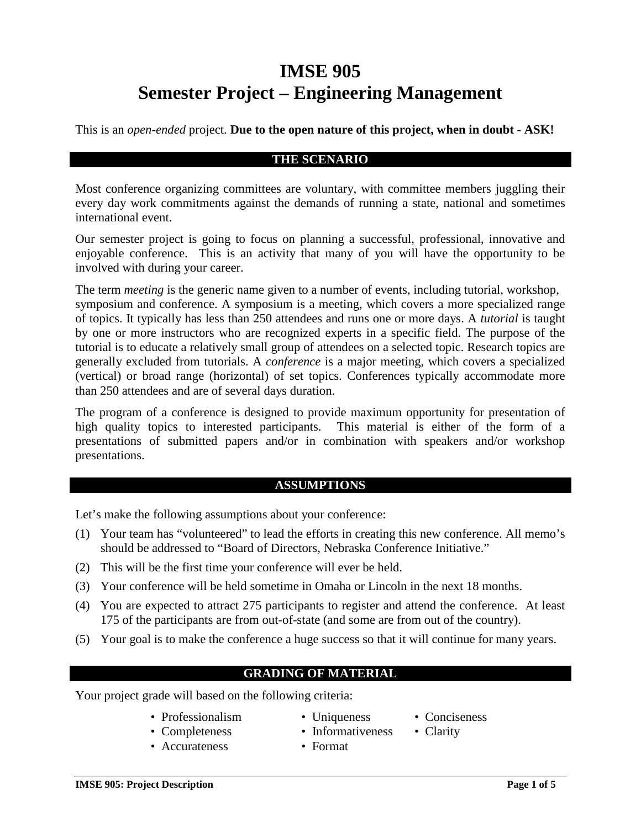# **IMSE 905 Semester Project – Engineering Management**

This is an *open-ended* project. **Due to the open nature of this project, when in doubt - ASK!**

### **THE SCENARIO**

Most conference organizing committees are voluntary, with committee members juggling their every day work commitments against the demands of running a state, national and sometimes international event.

Our semester project is going to focus on planning a successful, professional, innovative and enjoyable conference. This is an activity that many of you will have the opportunity to be involved with during your career.

The term *meeting* is the generic name given to a number of events, including tutorial, workshop, symposium and conference. A symposium is a meeting, which covers a more specialized range of topics. It typically has less than 250 attendees and runs one or more days. A *tutorial* is taught by one or more instructors who are recognized experts in a specific field. The purpose of the tutorial is to educate a relatively small group of attendees on a selected topic. Research topics are generally excluded from tutorials. A *conference* is a major meeting, which covers a specialized (vertical) or broad range (horizontal) of set topics. Conferences typically accommodate more than 250 attendees and are of several days duration.

The program of a conference is designed to provide maximum opportunity for presentation of high quality topics to interested participants. This material is either of the form of a presentations of submitted papers and/or in combination with speakers and/or workshop presentations.

# **ASSUMPTIONS**

Let's make the following assumptions about your conference:

- (1) Your team has "volunteered" to lead the efforts in creating this new conference. All memo's should be addressed to "Board of Directors, Nebraska Conference Initiative."
- (2) This will be the first time your conference will ever be held.
- (3) Your conference will be held sometime in Omaha or Lincoln in the next 18 months.
- (4) You are expected to attract 275 participants to register and attend the conference. At least 175 of the participants are from out-of-state (and some are from out of the country).
- (5) Your goal is to make the conference a huge success so that it will continue for many years.

# **GRADING OF MATERIAL**

Your project grade will based on the following criteria:

- Professionalism Uniqueness Conciseness
- Completeness Informativeness Clarity
- Accurateness Format
- 
- 
- 
- -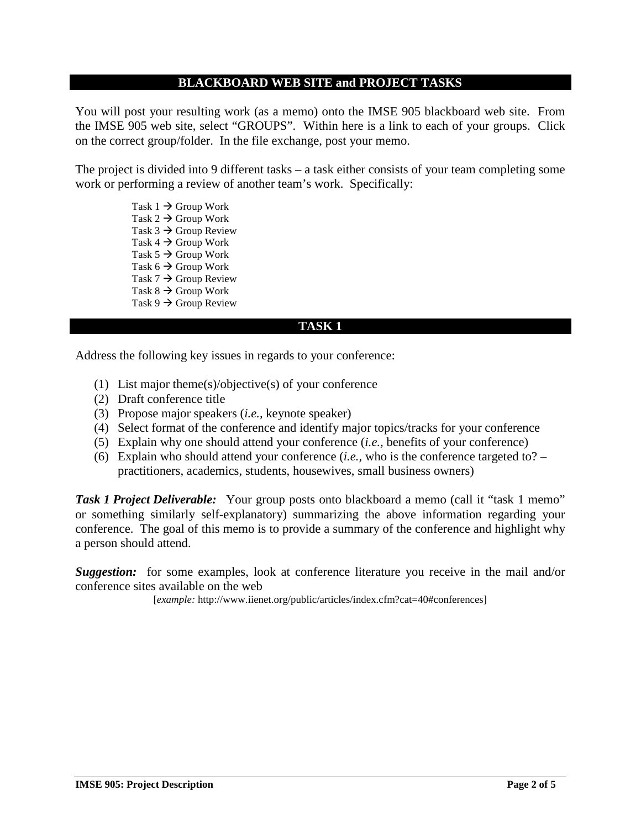#### **BLACKBOARD WEB SITE and PROJECT TASKS**

You will post your resulting work (as a memo) onto the IMSE 905 blackboard web site. From the IMSE 905 web site, select "GROUPS". Within here is a link to each of your groups. Click on the correct group/folder. In the file exchange, post your memo.

The project is divided into 9 different tasks – a task either consists of your team completing some work or performing a review of another team's work. Specifically:

> Task  $1 \rightarrow$  Group Work Task  $2 \rightarrow$  Group Work Task  $3 \rightarrow$  Group Review Task  $4 \rightarrow$  Group Work Task  $5 \rightarrow$  Group Work Task  $6 \rightarrow$  Group Work Task  $7 \rightarrow$  Group Review Task  $8 \rightarrow$  Group Work Task  $9 \rightarrow$  Group Review

#### **TASK 1**

Address the following key issues in regards to your conference:

- (1) List major theme(s)/objective(s) of your conference
- (2) Draft conference title
- (3) Propose major speakers (*i.e.,* keynote speaker)
- (4) Select format of the conference and identify major topics/tracks for your conference
- (5) Explain why one should attend your conference (*i.e.,* benefits of your conference)
- (6) Explain who should attend your conference (*i.e.,* who is the conference targeted to? practitioners, academics, students, housewives, small business owners)

**Task 1 Project Deliverable:** Your group posts onto blackboard a memo (call it "task 1 memo" or something similarly self-explanatory) summarizing the above information regarding your conference. The goal of this memo is to provide a summary of the conference and highlight why a person should attend.

*Suggestion:* for some examples, look at conference literature you receive in the mail and/or conference sites available on the web

[*example:* http://www.iienet.org/public/articles/index.cfm?cat=40#conferences]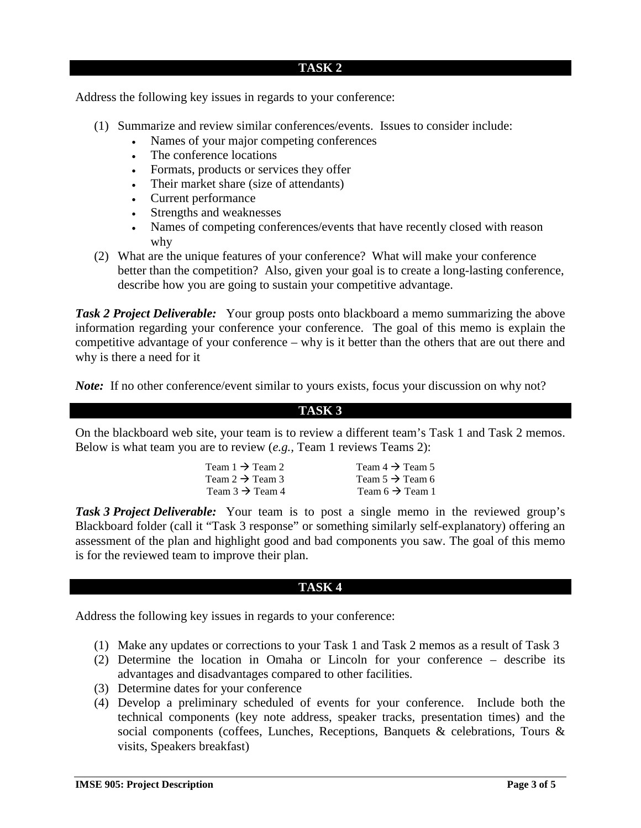#### **TASK 2**

Address the following key issues in regards to your conference:

- (1) Summarize and review similar conferences/events. Issues to consider include:
	- Names of your major competing conferences
	- The conference locations
	- Formats, products or services they offer
	- Their market share (size of attendants)
	- Current performance
	- Strengths and weaknesses
	- Names of competing conferences/events that have recently closed with reason why
- (2) What are the unique features of your conference? What will make your conference better than the competition? Also, given your goal is to create a long-lasting conference, describe how you are going to sustain your competitive advantage.

**Task 2 Project Deliverable:** Your group posts onto blackboard a memo summarizing the above information regarding your conference your conference. The goal of this memo is explain the competitive advantage of your conference – why is it better than the others that are out there and why is there a need for it

*Note:* If no other conference/event similar to yours exists, focus your discussion on why not?

### **TASK 3**

On the blackboard web site, your team is to review a different team's Task 1 and Task 2 memos. Below is what team you are to review (*e.g.,* Team 1 reviews Teams 2):

| Team $4 \rightarrow$ Team 5 |
|-----------------------------|
| Team $5 \rightarrow$ Team 6 |
| Team $6 \rightarrow$ Team 1 |
|                             |

**Task 3 Project Deliverable:** Your team is to post a single memo in the reviewed group's Blackboard folder (call it "Task 3 response" or something similarly self-explanatory) offering an assessment of the plan and highlight good and bad components you saw. The goal of this memo is for the reviewed team to improve their plan.

### **TASK 4**

Address the following key issues in regards to your conference:

- (1) Make any updates or corrections to your Task 1 and Task 2 memos as a result of Task 3
- (2) Determine the location in Omaha or Lincoln for your conference describe its advantages and disadvantages compared to other facilities.
- (3) Determine dates for your conference
- (4) Develop a preliminary scheduled of events for your conference. Include both the technical components (key note address, speaker tracks, presentation times) and the social components (coffees, Lunches, Receptions, Banquets & celebrations, Tours & visits, Speakers breakfast)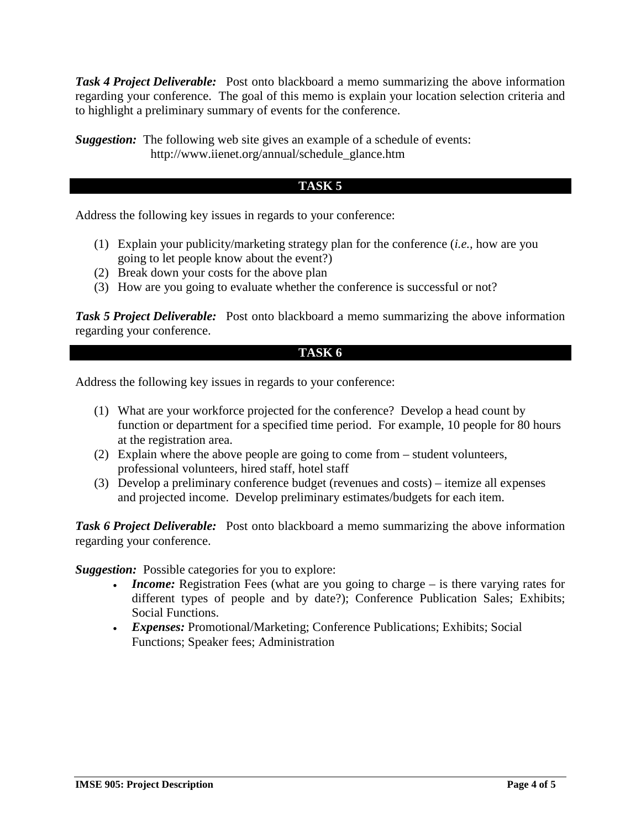*Task 4 Project Deliverable:* Post onto blackboard a memo summarizing the above information regarding your conference. The goal of this memo is explain your location selection criteria and to highlight a preliminary summary of events for the conference.

*Suggestion:* The following web site gives an example of a schedule of events: http://www.iienet.org/annual/schedule\_glance.htm

## **TASK 5**

Address the following key issues in regards to your conference:

- (1) Explain your publicity/marketing strategy plan for the conference (*i.e.,* how are you going to let people know about the event?)
- (2) Break down your costs for the above plan
- (3) How are you going to evaluate whether the conference is successful or not?

**Task 5 Project Deliverable:** Post onto blackboard a memo summarizing the above information regarding your conference.

## **TASK 6**

Address the following key issues in regards to your conference:

- (1) What are your workforce projected for the conference? Develop a head count by function or department for a specified time period. For example, 10 people for 80 hours at the registration area.
- (2) Explain where the above people are going to come from student volunteers, professional volunteers, hired staff, hotel staff
- (3) Develop a preliminary conference budget (revenues and costs) itemize all expenses and projected income. Develop preliminary estimates/budgets for each item.

**Task 6 Project Deliverable:** Post onto blackboard a memo summarizing the above information regarding your conference.

*Suggestion:* Possible categories for you to explore:

- *Income:* Registration Fees (what are you going to charge is there varying rates for different types of people and by date?); Conference Publication Sales; Exhibits; Social Functions.
- *Expenses:* Promotional/Marketing; Conference Publications; Exhibits; Social Functions; Speaker fees; Administration